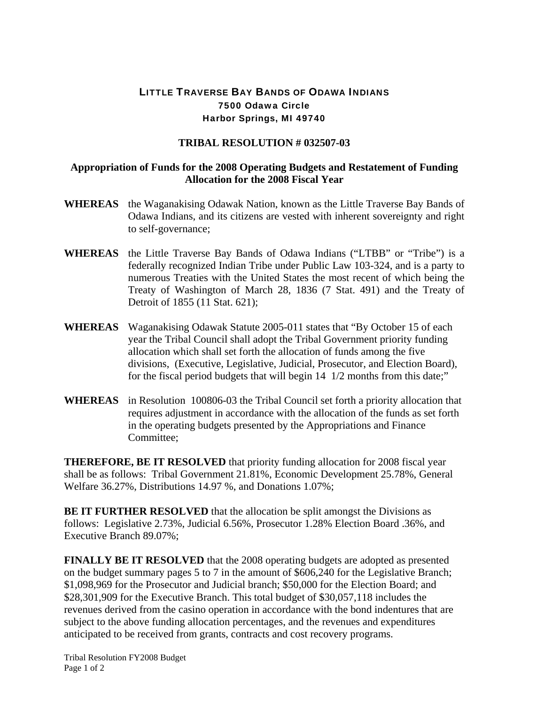## LITTLE TRAVERSE BAY BANDS OF ODAWA INDIANS 7500 Odawa Circle Harbor Springs, MI 49740

## **TRIBAL RESOLUTION # 032507-03**

## **Appropriation of Funds for the 2008 Operating Budgets and Restatement of Funding Allocation for the 2008 Fiscal Year**

- **WHEREAS** the Waganakising Odawak Nation, known as the Little Traverse Bay Bands of Odawa Indians, and its citizens are vested with inherent sovereignty and right to self-governance;
- **WHEREAS** the Little Traverse Bay Bands of Odawa Indians ("LTBB" or "Tribe") is a federally recognized Indian Tribe under Public Law 103-324, and is a party to numerous Treaties with the United States the most recent of which being the Treaty of Washington of March 28, 1836 (7 Stat. 491) and the Treaty of Detroit of 1855 (11 Stat. 621);
- **WHEREAS** Waganakising Odawak Statute 2005-011 states that "By October 15 of each year the Tribal Council shall adopt the Tribal Government priority funding allocation which shall set forth the allocation of funds among the five divisions, (Executive, Legislative, Judicial, Prosecutor, and Election Board), for the fiscal period budgets that will begin 14 1/2 months from this date;"
- **WHEREAS** in Resolution 100806-03 the Tribal Council set forth a priority allocation that requires adjustment in accordance with the allocation of the funds as set forth in the operating budgets presented by the Appropriations and Finance Committee;

**THEREFORE, BE IT RESOLVED** that priority funding allocation for 2008 fiscal year shall be as follows: Tribal Government 21.81%, Economic Development 25.78%, General Welfare 36.27%, Distributions 14.97 %, and Donations 1.07%;

**BE IT FURTHER RESOLVED** that the allocation be split amongst the Divisions as follows: Legislative 2.73%, Judicial 6.56%, Prosecutor 1.28% Election Board .36%, and Executive Branch 89.07%;

**FINALLY BE IT RESOLVED** that the 2008 operating budgets are adopted as presented on the budget summary pages 5 to 7 in the amount of \$606,240 for the Legislative Branch; \$1,098,969 for the Prosecutor and Judicial branch; \$50,000 for the Election Board; and \$28,301,909 for the Executive Branch. This total budget of \$30,057,118 includes the revenues derived from the casino operation in accordance with the bond indentures that are subject to the above funding allocation percentages, and the revenues and expenditures anticipated to be received from grants, contracts and cost recovery programs.